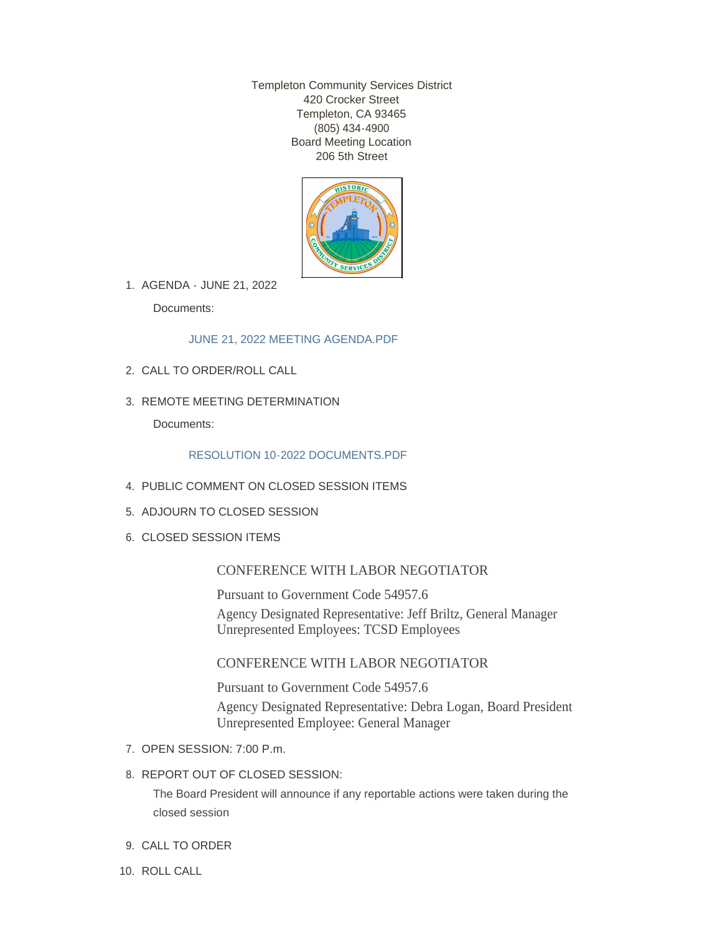Templeton Community Services District 420 Crocker Street Templeton, CA 93465 (805) 434-4900 Board Meeting Location 206 5th Street



AGENDA - JUNE 21, 2022 1.

Documents:

[JUNE 21, 2022 MEETING AGENDA.PDF](http://www.templetoncsd.org/AgendaCenter/ViewFile/Item/4778?fileID=3351)

- CALL TO ORDER/ROLL CALL 2.
- 3. REMOTE MEETING DETERMINATION

Documents:

# [RESOLUTION 10-2022 DOCUMENTS.PDF](http://www.templetoncsd.org/AgendaCenter/ViewFile/Item/4764?fileID=3340)

- PUBLIC COMMENT ON CLOSED SESSION ITEMS 4.
- 5. ADJOURN TO CLOSED SESSION
- 6. CLOSED SESSION ITEMS

# CONFERENCE WITH LABOR NEGOTIATOR

Pursuant to Government Code 54957.6 Agency Designated Representative: Jeff Briltz, General Manager Unrepresented Employees: TCSD Employees

# CONFERENCE WITH LABOR NEGOTIATOR

Pursuant to Government Code 54957.6 Agency Designated Representative: Debra Logan, Board President Unrepresented Employee: General Manager

- 7. OPEN SESSION: 7:00 P.m.
- 8. REPORT OUT OF CLOSED SESSION:

The Board President will announce if any reportable actions were taken during the closed session

- 9. CALL TO ORDER
- 10. ROLL CALL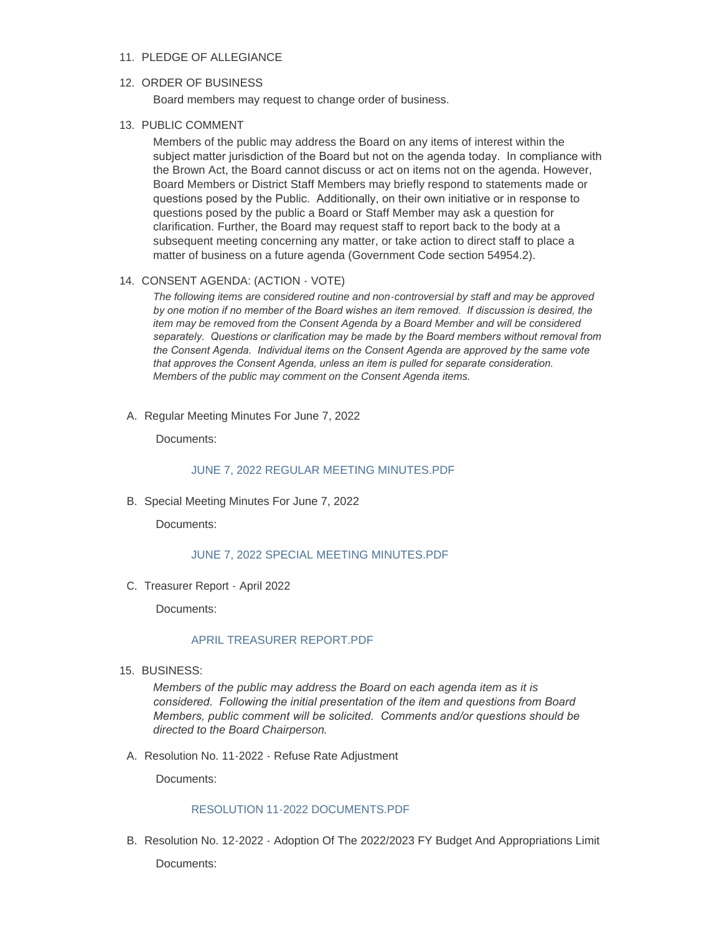#### 11. PLEDGE OF ALLEGIANCE

#### 12. ORDER OF BUSINESS

Board members may request to change order of business.

#### 13. PUBLIC COMMENT

Members of the public may address the Board on any items of interest within the subject matter jurisdiction of the Board but not on the agenda today. In compliance with the Brown Act, the Board cannot discuss or act on items not on the agenda. However, Board Members or District Staff Members may briefly respond to statements made or questions posed by the Public. Additionally, on their own initiative or in response to questions posed by the public a Board or Staff Member may ask a question for clarification. Further, the Board may request staff to report back to the body at a subsequent meeting concerning any matter, or take action to direct staff to place a matter of business on a future agenda (Government Code section 54954.2).

#### 14. CONSENT AGENDA: (ACTION - VOTE)

*The following items are considered routine and non-controversial by staff and may be approved by one motion if no member of the Board wishes an item removed. If discussion is desired, the item may be removed from the Consent Agenda by a Board Member and will be considered separately. Questions or clarification may be made by the Board members without removal from the Consent Agenda. Individual items on the Consent Agenda are approved by the same vote that approves the Consent Agenda, unless an item is pulled for separate consideration. Members of the public may comment on the Consent Agenda items.*

A. Regular Meeting Minutes For June 7, 2022

Documents:

### [JUNE 7, 2022 REGULAR MEETING MINUTES.PDF](http://www.templetoncsd.org/AgendaCenter/ViewFile/Item/4767?fileID=3339)

B. Special Meeting Minutes For June 7, 2022

Documents:

#### [JUNE 7, 2022 SPECIAL MEETING MINUTES.PDF](http://www.templetoncsd.org/AgendaCenter/ViewFile/Item/4766?fileID=3338)

C. Treasurer Report - April 2022

Documents:

#### [APRIL TREASURER REPORT.PDF](http://www.templetoncsd.org/AgendaCenter/ViewFile/Item/4773?fileID=3346)

15. BUSINESS:

*Members of the public may address the Board on each agenda item as it is considered. Following the initial presentation of the item and questions from Board Members, public comment will be solicited. Comments and/or questions should be directed to the Board Chairperson.*

A. Resolution No. 11-2022 - Refuse Rate Adjustment

Documents:

#### [RESOLUTION 11-2022 DOCUMENTS.PDF](http://www.templetoncsd.org/AgendaCenter/ViewFile/Item/4776?fileID=3349)

B. Resolution No. 12-2022 - Adoption Of The 2022/2023 FY Budget And Appropriations Limit Documents: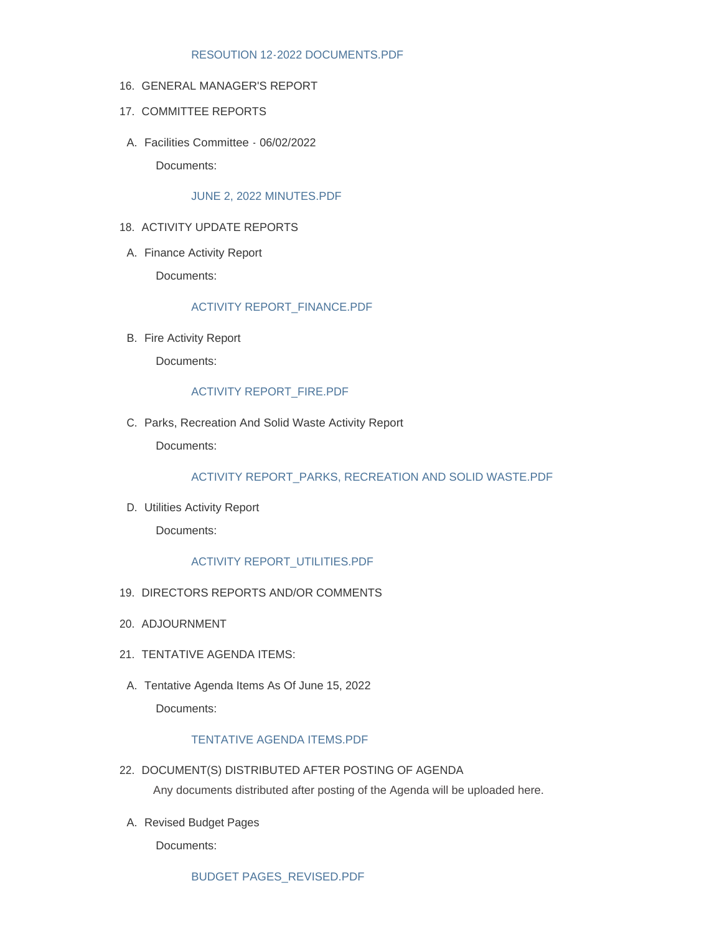## [RESOUTION 12-2022 DOCUMENTS.PDF](http://www.templetoncsd.org/AgendaCenter/ViewFile/Item/4775?fileID=3348)

#### 16. GENERAL MANAGER'S REPORT

- 17. COMMITTEE REPORTS
- Facilities Committee 06/02/2022 A.

Documents:

## [JUNE 2, 2022 MINUTES.PDF](http://www.templetoncsd.org/AgendaCenter/ViewFile/Item/4769?fileID=3342)

## 18. ACTIVITY UPDATE REPORTS

A. Finance Activity Report

Documents:

## [ACTIVITY REPORT\\_FINANCE.PDF](http://www.templetoncsd.org/AgendaCenter/ViewFile/Item/4768?fileID=3341)

B. Fire Activity Report

Documents:

## [ACTIVITY REPORT\\_FIRE.PDF](http://www.templetoncsd.org/AgendaCenter/ViewFile/Item/4774?fileID=3347)

C. Parks, Recreation And Solid Waste Activity Report

Documents:

## [ACTIVITY REPORT\\_PARKS, RECREATION AND SOLID WASTE.PDF](http://www.templetoncsd.org/AgendaCenter/ViewFile/Item/4777?fileID=3350)

D. Utilities Activity Report

Documents:

## [ACTIVITY REPORT\\_UTILITIES.PDF](http://www.templetoncsd.org/AgendaCenter/ViewFile/Item/4770?fileID=3343)

- 19. DIRECTORS REPORTS AND/OR COMMENTS
- 20. ADJOURNMENT
- 21. TENTATIVE AGENDA ITEMS:
- A. Tentative Agenda Items As Of June 15, 2022 Documents:

## [TENTATIVE AGENDA ITEMS.PDF](http://www.templetoncsd.org/AgendaCenter/ViewFile/Item/4771?fileID=3344)

- 22. DOCUMENT(S) DISTRIBUTED AFTER POSTING OF AGENDA Any documents distributed after posting of the Agenda will be uploaded here.
- A. Revised Budget Pages

Documents: